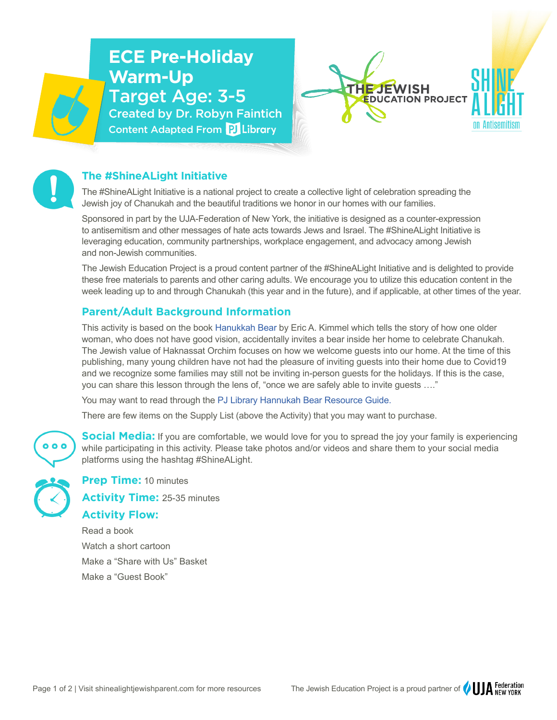# **ECE Pre-Holiday Warm-Up** Target Age: 3-5 Created by Dr. Robyn Faintich Content Adapted From PJ Library





### **The #ShineALight Initiative**

The #ShineALight Initiative is a national project to create a collective light of celebration spreading the Jewish joy of Chanukah and the beautiful traditions we honor in our homes with our families.

Sponsored in part by the UJA-Federation of New York, the initiative is designed as a counter-expression to antisemitism and other messages of hate acts towards Jews and Israel. The #ShineALight Initiative is leveraging education, community partnerships, workplace engagement, and advocacy among Jewish and non-Jewish communities.

The Jewish Education Project is a proud content partner of the #ShineALight Initiative and is delighted to provide these free materials to parents and other caring adults. We encourage you to utilize this education content in the week leading up to and through Chanukah (this year and in the future), and if applicable, at other times of the year.

#### **Parent/Adult Background Information**

This activity is based on the book [Hanukkah Bear](https://www.amazon.com/Hanukkah-Bear-Eric-Kimmel/dp/082343169X/ref=sr_1_3?keywords=hanukkah+bear&qid=1637037429&qsid=140-4619985-9392335&sr=8-3&sres=082343169X%2C1423143558%2CB07G5XK22G%2C1426324766%2C1645177610%2C0920668364%2C0823425479%2C0545416779%2C0670011274%2C0375873961%2CB08NMG2W4W%2C0689802552%2C1619635216%2C0761390391%2CB084HC32XZ%2C0525554777&srpt=ABIS_BOOK) by Eric A. Kimmel which tells the story of how one older woman, who does not have good vision, accidentally invites a bear inside her home to celebrate Chanukah. The Jewish value of Haknassat Orchim focuses on how we welcome guests into our home. At the time of this publishing, many young children have not had the pleasure of inviting guests into their home due to Covid19 and we recognize some families may still not be inviting in-person guests for the holidays. If this is the case, you can share this lesson through the lens of, "once we are safely able to invite guests …."

You may want to read through the [PJ Library Hannukah Bear Resource Guide.](https://pjlibrary.org/beyond-books/educators-center/pj-goes-to-school-resources/hanukkah-bear)

There are few items on the Supply List (above the Activity) that you may want to purchase.

**Social Media:** If you are comfortable, we would love for you to spread the joy your family is experiencing  $0<sub>0</sub>$ while participating in this activity. Please take photos and/or videos and share them to your social media platforms using the hashtag #ShineALight.

**Prep Time:** 10 minutes

**Activity Time:** 25-35 minutes

## **Activity Flow:**

Read a book Watch a short cartoon Make a "Share with Us" Basket Make a "Guest Book"

Page 1 of 2 | Visit shinealightjewishparent.com for more resources The Jewish Education Project is a proud partner of  $\bigcup A$  REW YORK